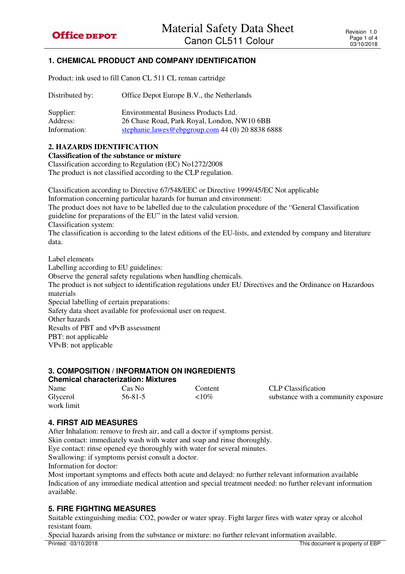# **1. CHEMICAL PRODUCT AND COMPANY IDENTIFICATION**

Product: ink used to fill Canon CL 511 CL reman cartridge

| Distributed by: | Office Depot Europe B.V., the Netherlands        |
|-----------------|--------------------------------------------------|
| Supplier:       | Environmental Business Products Ltd.             |
| Address:        | 26 Chase Road, Park Royal, London, NW10 6BB      |
| Information:    | stephanie.lawes@ebpgroup.com 44 (0) 20 8838 6888 |

### **2. HAZARDS IDENTIFICATION**

**Classification of the substance or mixture** 

Classification according to Regulation (EC) No1272/2008

The product is not classified according to the CLP regulation.

Classification according to Directive 67/548/EEC or Directive 1999/45/EC Not applicable Information concerning particular hazards for human and environment: The product does not have to be labelled due to the calculation procedure of the "General Classification guideline for preparations of the EU" in the latest valid version. Classification system: The classification is according to the latest editions of the EU-lists, and extended by company and literature data.

Label elements Labelling according to EU guidelines: Observe the general safety regulations when handling chemicals. The product is not subject to identification regulations under EU Directives and the Ordinance on Hazardous materials Special labelling of certain preparations: Safety data sheet available for professional user on request. Other hazards Results of PBT and vPvB assessment PBT: not applicable VPvB: not applicable

# **3. COMPOSITION / INFORMATION ON INGREDIENTS**

| <b>Chemical characterization: Mixtures</b> |               |           |                                     |  |
|--------------------------------------------|---------------|-----------|-------------------------------------|--|
| Name                                       | Cas No-       | Content   | CLP Classification                  |  |
| Glycerol                                   | $56 - 81 - 5$ | ${<}10\%$ | substance with a community exposure |  |
| work limit                                 |               |           |                                     |  |

# **4. FIRST AID MEASURES**

After Inhalation: remove to fresh air, and call a doctor if symptoms persist.

Skin contact: immediately wash with water and soap and rinse thoroughly. Eye contact: rinse opened eye thoroughly with water for several minutes.

Swallowing: if symptoms persist consult a doctor.

Information for doctor:

Most important symptoms and effects both acute and delayed: no further relevant information available Indication of any immediate medical attention and special treatment needed: no further relevant information available.

# **5. FIRE FIGHTING MEASURES**

Suitable extinguishing media: CO2, powder or water spray. Fight larger fires with water spray or alcohol resistant foam.

Printed: -03/10/2018 This document is property of EBP Special hazards arising from the substance or mixture: no further relevant information available.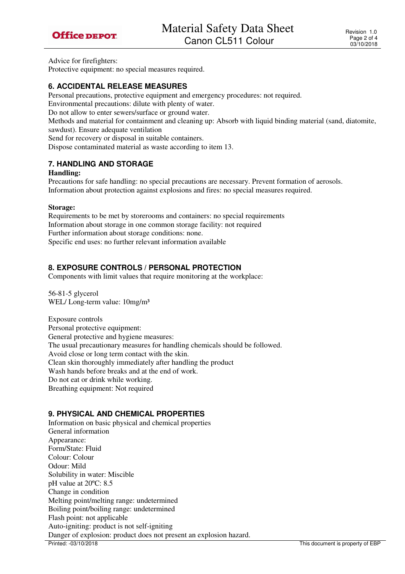

Advice for firefighters:

Protective equipment: no special measures required.

#### **6. ACCIDENTAL RELEASE MEASURES**

Personal precautions, protective equipment and emergency procedures: not required.

Environmental precautions: dilute with plenty of water.

Do not allow to enter sewers/surface or ground water.

Methods and material for containment and cleaning up: Absorb with liquid binding material (sand, diatomite, sawdust). Ensure adequate ventilation

Send for recovery or disposal in suitable containers.

Dispose contaminated material as waste according to item 13.

#### **7. HANDLING AND STORAGE**

#### **Handling:**

Precautions for safe handling: no special precautions are necessary. Prevent formation of aerosols. Information about protection against explosions and fires: no special measures required.

#### **Storage:**

Requirements to be met by storerooms and containers: no special requirements Information about storage in one common storage facility: not required Further information about storage conditions: none. Specific end uses: no further relevant information available

### **8. EXPOSURE CONTROLS / PERSONAL PROTECTION**

Components with limit values that require monitoring at the workplace:

56-81-5 glycerol WEL/Long-term value:  $10mg/m<sup>3</sup>$ 

Exposure controls Personal protective equipment: General protective and hygiene measures: The usual precautionary measures for handling chemicals should be followed. Avoid close or long term contact with the skin. Clean skin thoroughly immediately after handling the product Wash hands before breaks and at the end of work. Do not eat or drink while working. Breathing equipment: Not required

#### **9. PHYSICAL AND CHEMICAL PROPERTIES**

Printed: -03/10/2018 This document is property of EBP Information on basic physical and chemical properties General information Appearance: Form/State: Fluid Colour: Colour Odour: Mild Solubility in water: Miscible pH value at 20ºC: 8.5 Change in condition Melting point/melting range: undetermined Boiling point/boiling range: undetermined Flash point: not applicable Auto-igniting: product is not self-igniting Danger of explosion: product does not present an explosion hazard.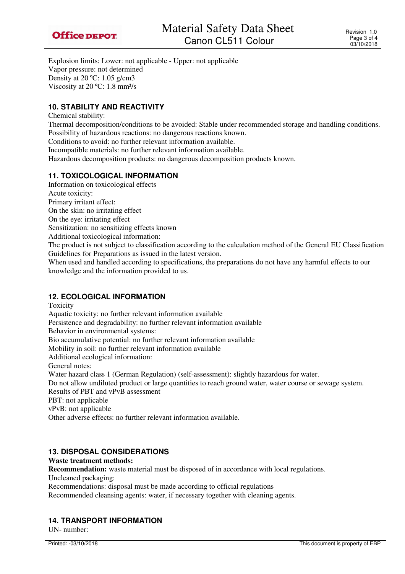Explosion limits: Lower: not applicable - Upper: not applicable Vapor pressure: not determined Density at 20 ºC: 1.05 g/cm3 Viscosity at 20 ºC: 1.8 mm²/s

## **10. STABILITY AND REACTIVITY**

Chemical stability:

Thermal decomposition/conditions to be avoided: Stable under recommended storage and handling conditions. Possibility of hazardous reactions: no dangerous reactions known.

Conditions to avoid: no further relevant information available.

Incompatible materials: no further relevant information available.

Hazardous decomposition products: no dangerous decomposition products known.

## **11. TOXICOLOGICAL INFORMATION**

Information on toxicological effects

Acute toxicity:

Primary irritant effect:

On the skin: no irritating effect

On the eye: irritating effect

Sensitization: no sensitizing effects known

Additional toxicological information:

The product is not subject to classification according to the calculation method of the General EU Classification Guidelines for Preparations as issued in the latest version.

When used and handled according to specifications, the preparations do not have any harmful effects to our knowledge and the information provided to us.

### **12. ECOLOGICAL INFORMATION**

Toxicity

Aquatic toxicity: no further relevant information available

Persistence and degradability: no further relevant information available

Behavior in environmental systems:

Bio accumulative potential: no further relevant information available

Mobility in soil: no further relevant information available

Additional ecological information:

General notes:

Water hazard class 1 (German Regulation) (self-assessment): slightly hazardous for water.

Do not allow undiluted product or large quantities to reach ground water, water course or sewage system. Results of PBT and vPvB assessment

PBT: not applicable

vPvB: not applicable

Other adverse effects: no further relevant information available.

### **13. DISPOSAL CONSIDERATIONS**

**Waste treatment methods:** 

**Recommendation:** waste material must be disposed of in accordance with local regulations.

Uncleaned packaging:

Recommendations: disposal must be made according to official regulations

Recommended cleansing agents: water, if necessary together with cleaning agents.

# **14. TRANSPORT INFORMATION**

UN- number: